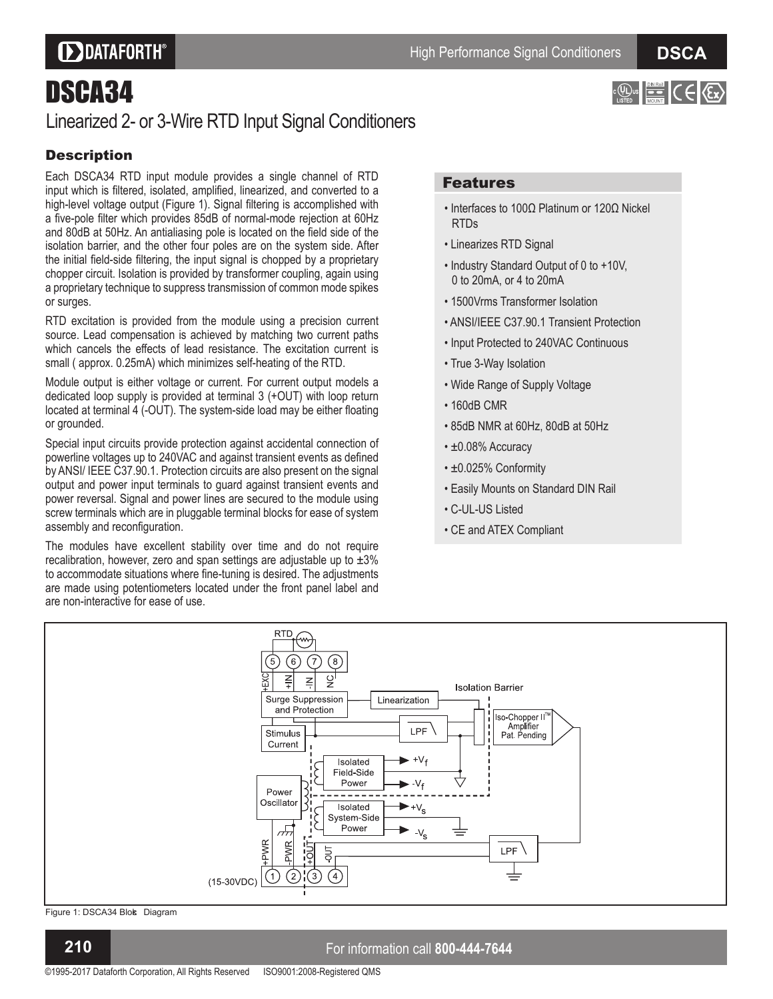## **DDATAFORTH®**

#### **D S C A**

 $E = C \in \mathbb{R}$ 

## DSCA34

### Linearized 2- or 3-Wire RTD Input Signal Conditioners

#### **Description**

Each DSCA34 RTD input module provides a single channel of RTD input which is filtered, isolated, amplified, linearized, and converted to a high-level voltage output (Figure 1). Signal filtering is accomplished with a five-pole filter which provides 85dB of normal-mode rejection at 60Hz and 80dB at 50Hz. An antialiasing pole is located on the field side of the isolation barrier, and the other four poles are on the system side. After the initial field-side filtering, the input signal is chopped by a proprietary chopper circuit. Isolation is provided by transformer coupling, again using a proprietary technique to suppress transmission of common mode spikes or surges.

RTD excitation is provided from the module using a precision current source. Lead compensation is achieved by matching two current paths which cancels the effects of lead resistance. The excitation current is small ( approx. 0.25mA) which minimizes self-heating of the RTD.

Module output is either voltage or current. For current output models a dedicated loop supply is provided at terminal 3 (+OUT) with loop return located at terminal 4 (-OUT). The system-side load may be either floating or grounded.

Special input circuits provide protection against accidental connection of powerline voltages up to 240VAC and against transient events as defined by ANSI/ IEEE C37.90.1. Protection circuits are also present on the signal output and power input terminals to guard against transient events and power reversal. Signal and power lines are secured to the module using screw terminals which are in pluggable terminal blocks for ease of system assembly and reconfiguration.

The modules have excellent stability over time and do not require recalibration, however, zero and span settings are adjustable up to  $\pm 3\%$ to accommodate situations where fine-tuning is desired. The adjustments are made using potentiometers located under the front panel label and are non-interactive for ease of use.

#### Features

- $\cdot$  Interfaces to 100 $\Omega$  Platinum or 120 $\Omega$  Nickel RTDs
- Linearizes RTD Signal
- Industry Standard Output of 0 to +10V, 0 to 20mA, or 4 to 20mA
- 1500Vrms Transformer Isolation
- ANSI/IEEE C37.90.1 Transient Protection
- Input Protected to 240VAC Continuous
- True 3-Way Isolation
- Wide Range of Supply Voltage
- 160dB CMR
- 85dB NMR at 60Hz, 80dB at 50Hz
- $\cdot$  ±0.08% Accuracy
- $\cdot$  ±0.025% Conformity
- Easily Mounts on Standard DIN Rail
- C-UL-US Listed
- CE and ATEX Compliant



Figure 1: DSCA34 Blok Diagram